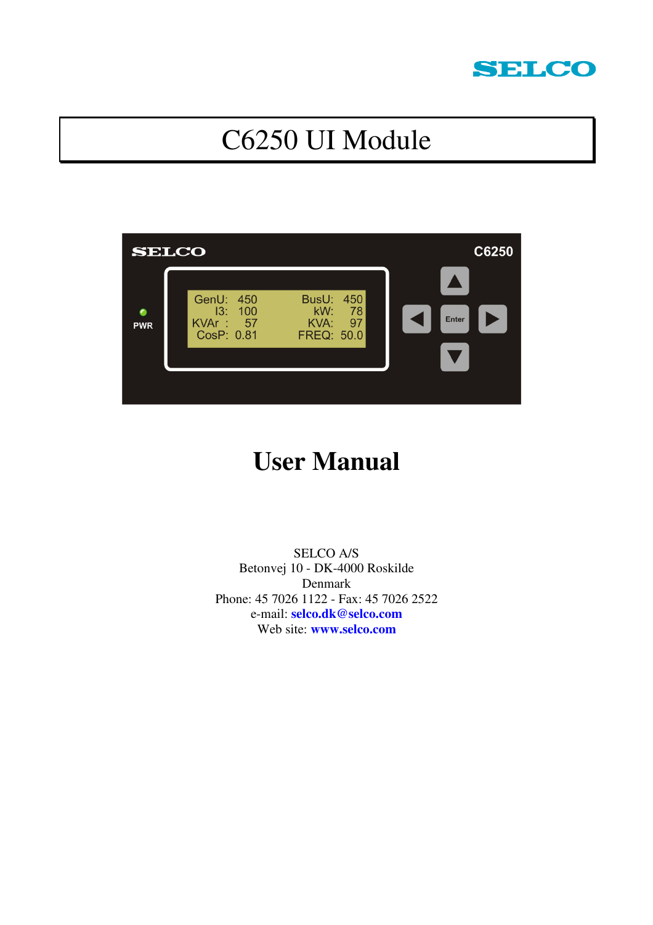

# C6250 UI Module



# **User Manual**

SELCO A/S Betonvej 10 - DK-4000 Roskilde Denmark Phone: 45 7026 1122 - Fax: 45 7026 2522 e-mail: **selco.dk@selco.com** Web site: **www.selco.com**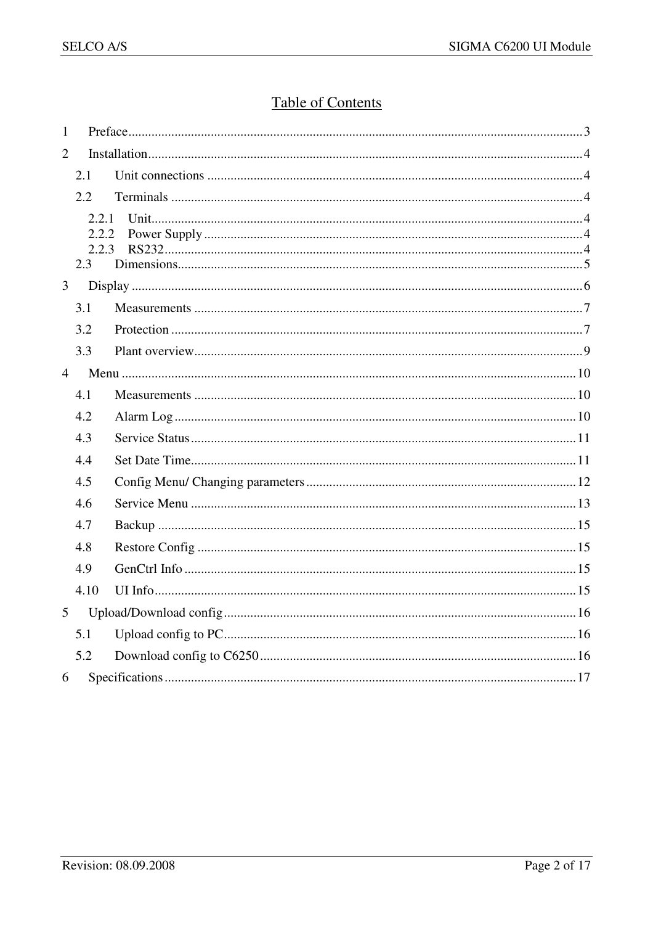## **Table of Contents**

| $\mathbf{1}$    |                                |  |  |  |
|-----------------|--------------------------------|--|--|--|
| $\overline{2}$  |                                |  |  |  |
|                 | 2.1                            |  |  |  |
|                 | 2.2                            |  |  |  |
|                 | 2.2.1<br>2.2.2<br>2.2.3<br>2.3 |  |  |  |
| 3               |                                |  |  |  |
|                 | 3.1                            |  |  |  |
|                 | 3.2                            |  |  |  |
|                 | 3.3                            |  |  |  |
| $\overline{4}$  |                                |  |  |  |
|                 | 4.1                            |  |  |  |
|                 | 4.2                            |  |  |  |
|                 | 4.3                            |  |  |  |
|                 | 4.4                            |  |  |  |
|                 | 4.5                            |  |  |  |
|                 | 4.6                            |  |  |  |
|                 | 4.7                            |  |  |  |
|                 | 4.8                            |  |  |  |
|                 | 4.9                            |  |  |  |
|                 | 4.10                           |  |  |  |
| $5\overline{)}$ |                                |  |  |  |
|                 | 5.1                            |  |  |  |
|                 | 5.2                            |  |  |  |
| 6               |                                |  |  |  |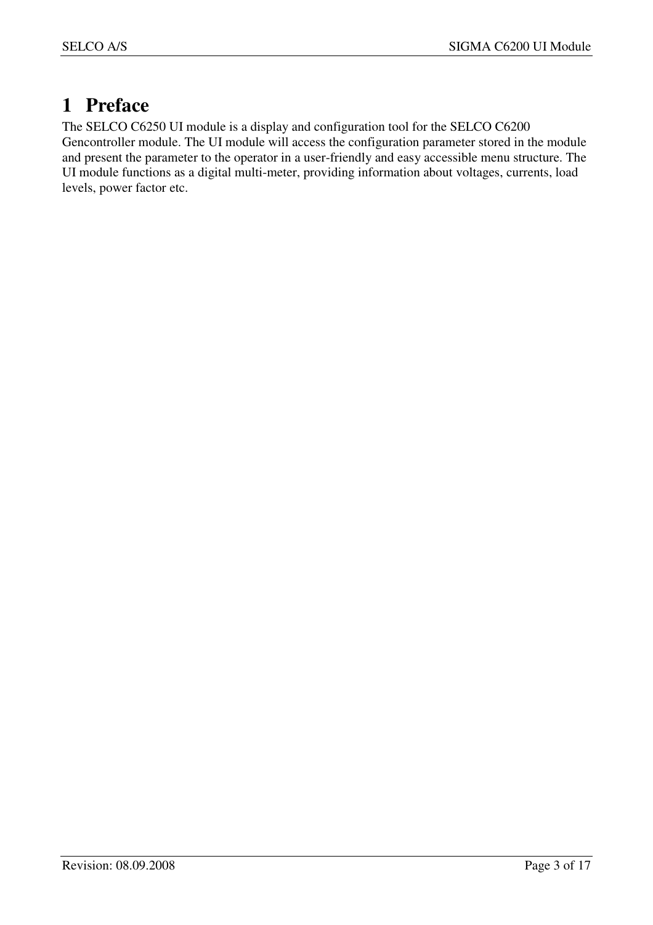# **1 Preface**

The SELCO C6250 UI module is a display and configuration tool for the SELCO C6200 Gencontroller module. The UI module will access the configuration parameter stored in the module and present the parameter to the operator in a user-friendly and easy accessible menu structure. The UI module functions as a digital multi-meter, providing information about voltages, currents, load levels, power factor etc.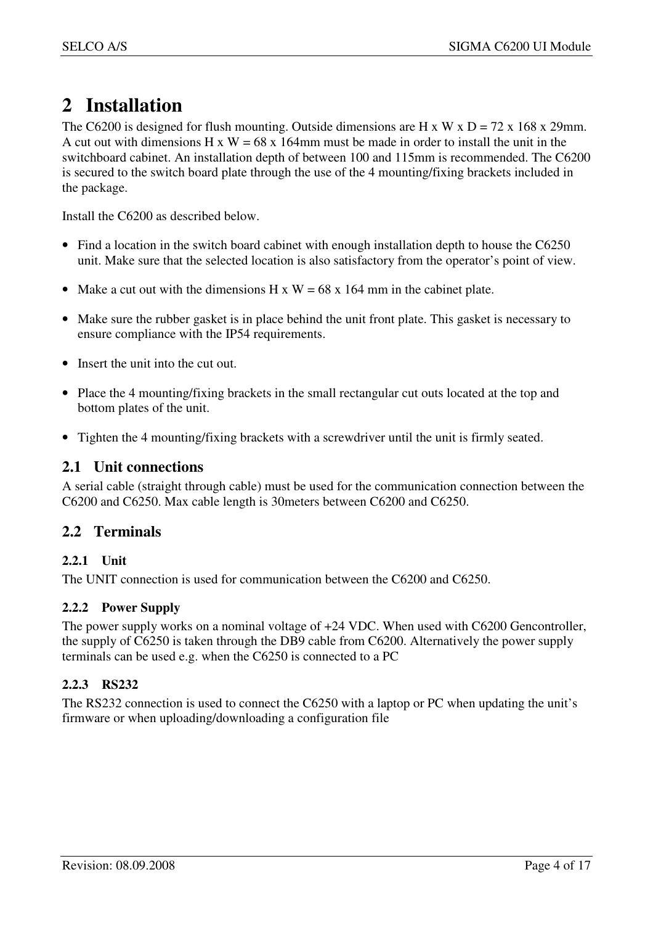# **2 Installation**

The C6200 is designed for flush mounting. Outside dimensions are H x W x  $D = 72$  x 168 x 29mm. A cut out with dimensions H x W =  $68 \times 164$ mm must be made in order to install the unit in the switchboard cabinet. An installation depth of between 100 and 115mm is recommended. The C6200 is secured to the switch board plate through the use of the 4 mounting/fixing brackets included in the package.

Install the C6200 as described below.

- Find a location in the switch board cabinet with enough installation depth to house the C6250 unit. Make sure that the selected location is also satisfactory from the operator's point of view.
- Make a cut out with the dimensions H x  $W = 68$  x 164 mm in the cabinet plate.
- Make sure the rubber gasket is in place behind the unit front plate. This gasket is necessary to ensure compliance with the IP54 requirements.
- Insert the unit into the cut out.
- Place the 4 mounting/fixing brackets in the small rectangular cut outs located at the top and bottom plates of the unit.
- Tighten the 4 mounting/fixing brackets with a screwdriver until the unit is firmly seated.

#### **2.1 Unit connections**

A serial cable (straight through cable) must be used for the communication connection between the C6200 and C6250. Max cable length is 30meters between C6200 and C6250.

#### **2.2 Terminals**

#### **2.2.1 Unit**

The UNIT connection is used for communication between the C6200 and C6250.

#### **2.2.2 Power Supply**

The power supply works on a nominal voltage of +24 VDC. When used with C6200 Gencontroller, the supply of C6250 is taken through the DB9 cable from C6200. Alternatively the power supply terminals can be used e.g. when the C6250 is connected to a PC

#### **2.2.3 RS232**

The RS232 connection is used to connect the C6250 with a laptop or PC when updating the unit's firmware or when uploading/downloading a configuration file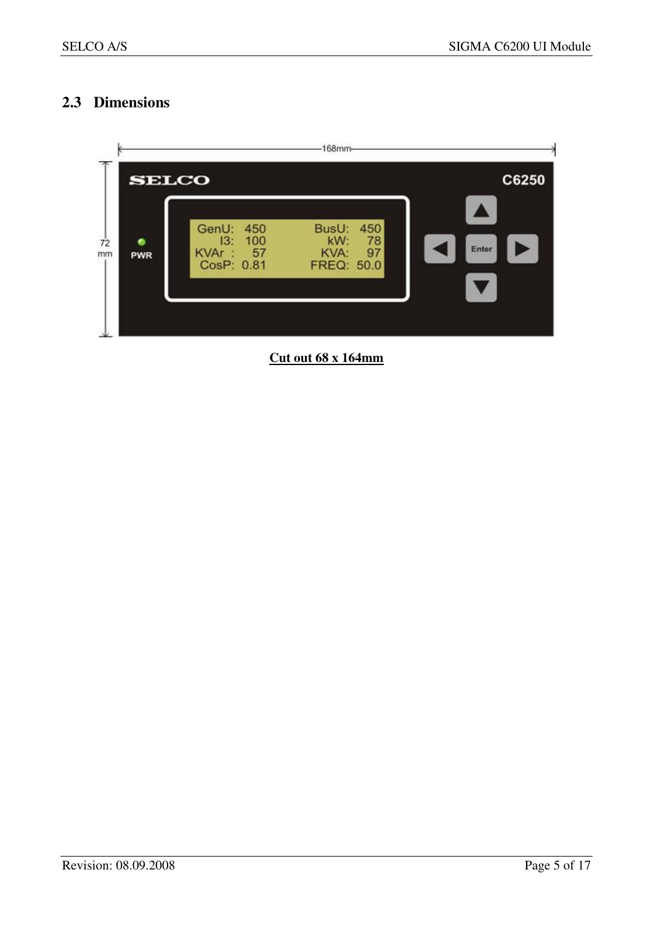## **2.3 Dimensions**



**Cut out 68 x 164mm**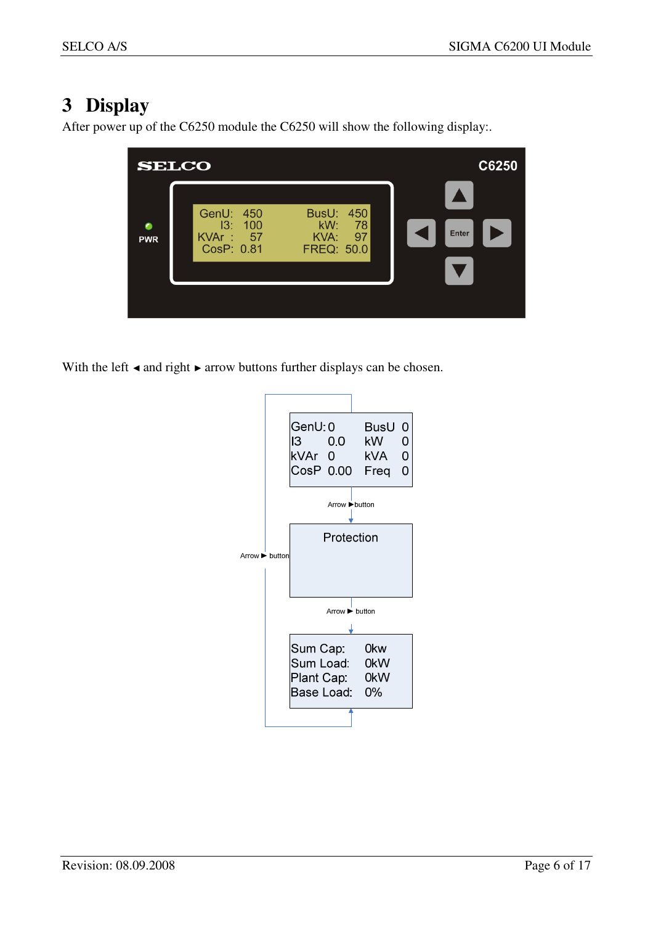# **3 Display**

After power up of the C6250 module the C6250 will show the following display:.



With the left < and right ► arrow buttons further displays can be chosen.

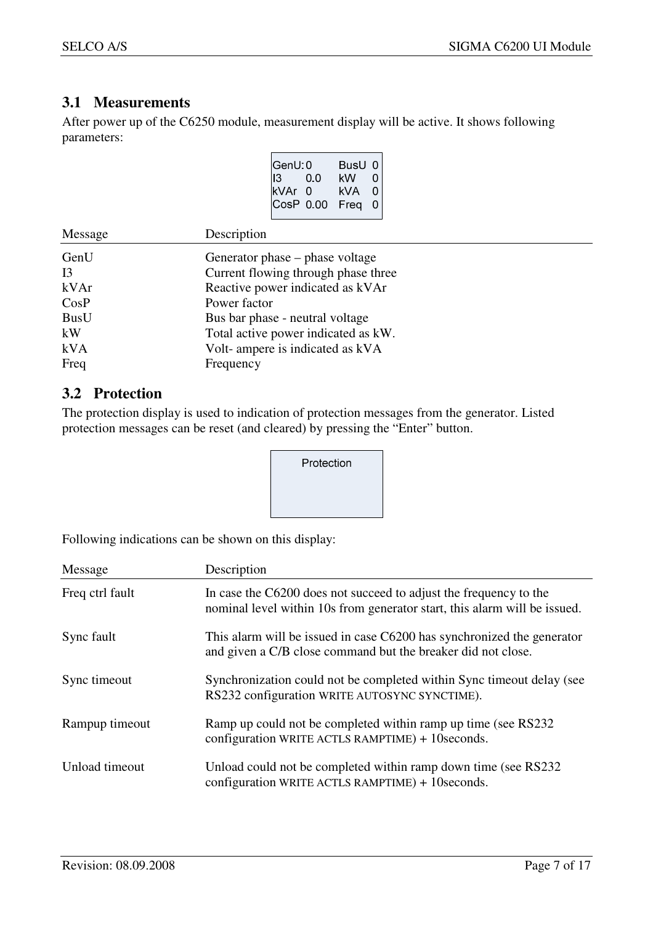#### **3.1 Measurements**

After power up of the C6250 module, measurement display will be active. It shows following parameters:

| GenU: 0     |          | BusU 0 |  |
|-------------|----------|--------|--|
| 13.         | 0.0      | kW     |  |
| kVAr        | $\Omega$ | kVA    |  |
| <b>CosP</b> | 0.00     | Frea   |  |
|             |          |        |  |

| Message          | Description                         |  |
|------------------|-------------------------------------|--|
| GenU             | Generator phase – phase voltage     |  |
| I <sub>3</sub>   | Current flowing through phase three |  |
| k <sub>Var</sub> | Reactive power indicated as kVAr    |  |
| CosP             | Power factor                        |  |
| <b>BusU</b>      | Bus bar phase - neutral voltage     |  |
| kW               | Total active power indicated as kW. |  |
| kVA              | Volt-ampere is indicated as kVA     |  |
| Freq             | Frequency                           |  |

#### **3.2 Protection**

The protection display is used to indication of protection messages from the generator. Listed protection messages can be reset (and cleared) by pressing the "Enter" button.

| Protection |  |
|------------|--|
|            |  |
|            |  |

Following indications can be shown on this display:

| Message         | Description                                                                                                                                    |
|-----------------|------------------------------------------------------------------------------------------------------------------------------------------------|
| Freq ctrl fault | In case the C6200 does not succeed to adjust the frequency to the<br>nominal level within 10s from generator start, this alarm will be issued. |
| Sync fault      | This alarm will be issued in case C6200 has synchronized the generator<br>and given a C/B close command but the breaker did not close.         |
| Sync timeout    | Synchronization could not be completed within Sync timeout delay (see<br>RS232 configuration WRITE AUTOSYNC SYNCTIME).                         |
| Rampup timeout  | Ramp up could not be completed within ramp up time (see RS232)<br>configuration WRITE ACTLS RAMPTIME) + 10 seconds.                            |
| Unload timeout  | Unload could not be completed within ramp down time (see RS232)<br>configuration WRITE ACTLS RAMPTIME) + 10 seconds.                           |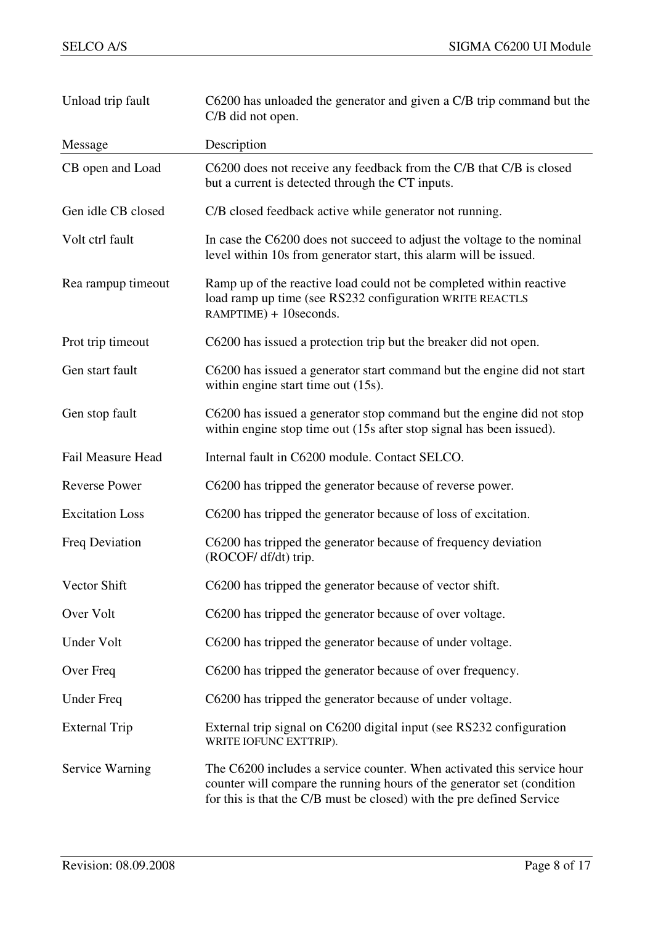| Unload trip fault        | C6200 has unloaded the generator and given a C/B trip command but the<br>C/B did not open.                                                                                                                                |  |
|--------------------------|---------------------------------------------------------------------------------------------------------------------------------------------------------------------------------------------------------------------------|--|
| Message                  | Description                                                                                                                                                                                                               |  |
| CB open and Load         | C6200 does not receive any feedback from the C/B that C/B is closed<br>but a current is detected through the CT inputs.                                                                                                   |  |
| Gen idle CB closed       | C/B closed feedback active while generator not running.                                                                                                                                                                   |  |
| Volt ctrl fault          | In case the C6200 does not succeed to adjust the voltage to the nominal<br>level within 10s from generator start, this alarm will be issued.                                                                              |  |
| Rea rampup timeout       | Ramp up of the reactive load could not be completed within reactive<br>load ramp up time (see RS232 configuration WRITE REACTLS<br>RAMPTIME) + 10seconds.                                                                 |  |
| Prot trip timeout        | C6200 has issued a protection trip but the breaker did not open.                                                                                                                                                          |  |
| Gen start fault          | C6200 has issued a generator start command but the engine did not start<br>within engine start time out (15s).                                                                                                            |  |
| Gen stop fault           | C6200 has issued a generator stop command but the engine did not stop<br>within engine stop time out (15s after stop signal has been issued).                                                                             |  |
| <b>Fail Measure Head</b> | Internal fault in C6200 module. Contact SELCO.                                                                                                                                                                            |  |
| <b>Reverse Power</b>     | C6200 has tripped the generator because of reverse power.                                                                                                                                                                 |  |
| <b>Excitation Loss</b>   | C6200 has tripped the generator because of loss of excitation.                                                                                                                                                            |  |
| Freq Deviation           | C6200 has tripped the generator because of frequency deviation<br>(ROCOF/ df/dt) trip.                                                                                                                                    |  |
| Vector Shift             | C6200 has tripped the generator because of vector shift.                                                                                                                                                                  |  |
| Over Volt                | C6200 has tripped the generator because of over voltage.                                                                                                                                                                  |  |
| Under Volt               | C6200 has tripped the generator because of under voltage.                                                                                                                                                                 |  |
| Over Freq                | C6200 has tripped the generator because of over frequency.                                                                                                                                                                |  |
| <b>Under Freq</b>        | C6200 has tripped the generator because of under voltage.                                                                                                                                                                 |  |
| <b>External Trip</b>     | External trip signal on C6200 digital input (see RS232 configuration<br>WRITE IOFUNC EXTTRIP).                                                                                                                            |  |
| Service Warning          | The C6200 includes a service counter. When activated this service hour<br>counter will compare the running hours of the generator set (condition<br>for this is that the C/B must be closed) with the pre defined Service |  |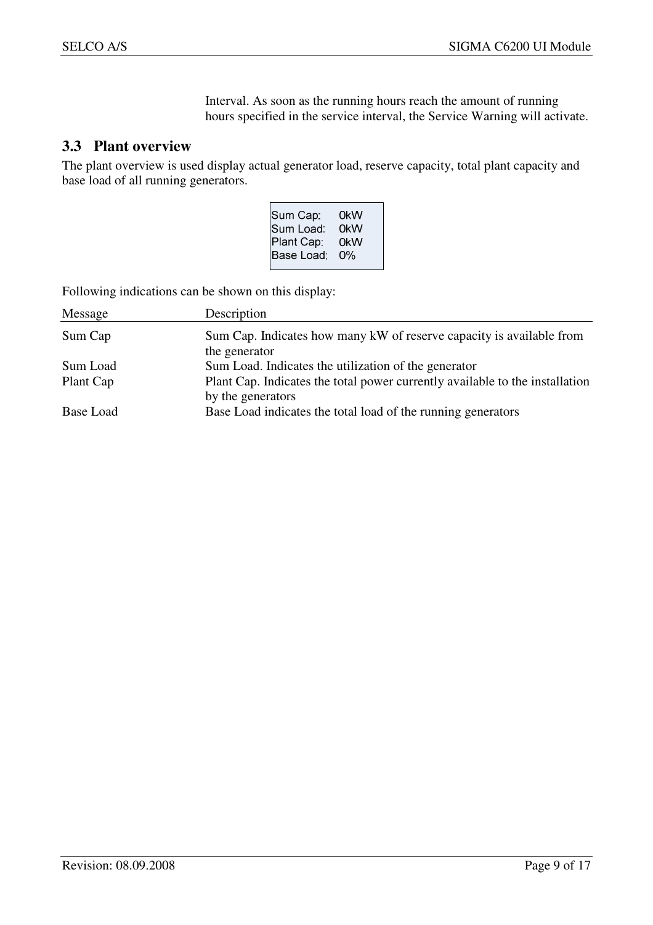Interval. As soon as the running hours reach the amount of running hours specified in the service interval, the Service Warning will activate.

#### **3.3 Plant overview**

The plant overview is used display actual generator load, reserve capacity, total plant capacity and base load of all running generators.

| 0kW<br>0kW<br>0kW |
|-------------------|
| 0%                |
|                   |

Following indications can be shown on this display:

| Message   | Description                                                                                       |
|-----------|---------------------------------------------------------------------------------------------------|
| Sum Cap   | Sum Cap. Indicates how many kW of reserve capacity is available from                              |
|           | the generator                                                                                     |
| Sum Load  | Sum Load. Indicates the utilization of the generator                                              |
| Plant Cap | Plant Cap. Indicates the total power currently available to the installation<br>by the generators |
| Base Load | Base Load indicates the total load of the running generators                                      |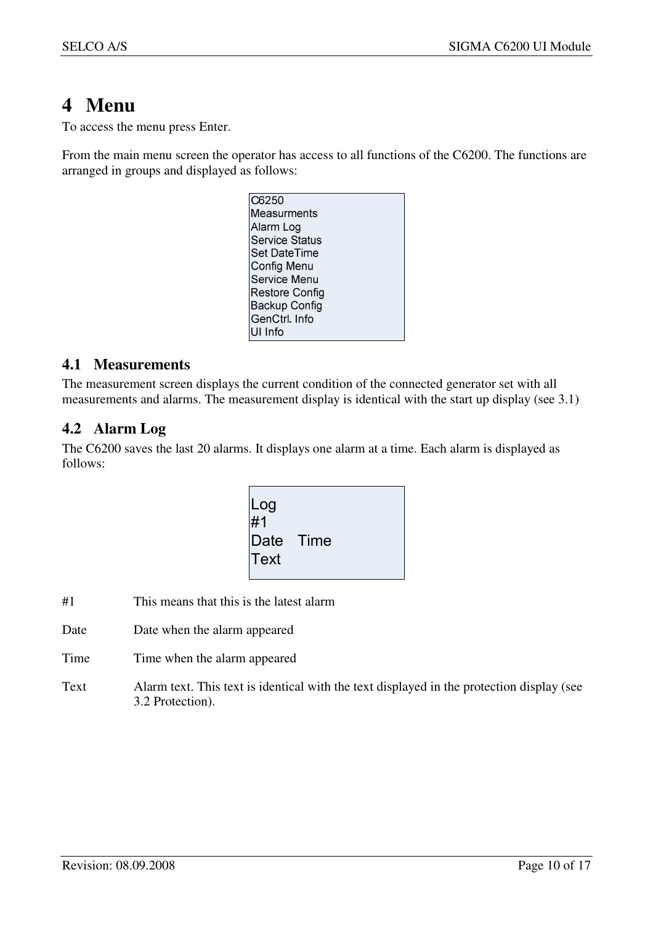# **4 Menu**

To access the menu press Enter.

From the main menu screen the operator has access to all functions of the C6200. The functions are arranged in groups and displayed as follows:

| C6250                 |
|-----------------------|
| Measurments           |
| Alarm Log             |
| <b>Service Status</b> |
| Set DateTime          |
| Config Menu           |
| Service Menu          |
| Restore Config        |
| Backup Config         |
| GenCtrl. Info         |
| UI Info               |

#### **4.1 Measurements**

The measurement screen displays the current condition of the connected generator set with all measurements and alarms. The measurement display is identical with the start up display (see 3.1)

## **4.2 Alarm Log**

The C6200 saves the last 20 alarms. It displays one alarm at a time. Each alarm is displayed as follows:

| Log<br>#1<br>Date Time<br><b>Text</b> |  |
|---------------------------------------|--|
|---------------------------------------|--|

- #1 This means that this is the latest alarm
- Date Date when the alarm appeared
- Time Time when the alarm appeared
- Text Alarm text. This text is identical with the text displayed in the protection display (see 3.2 Protection).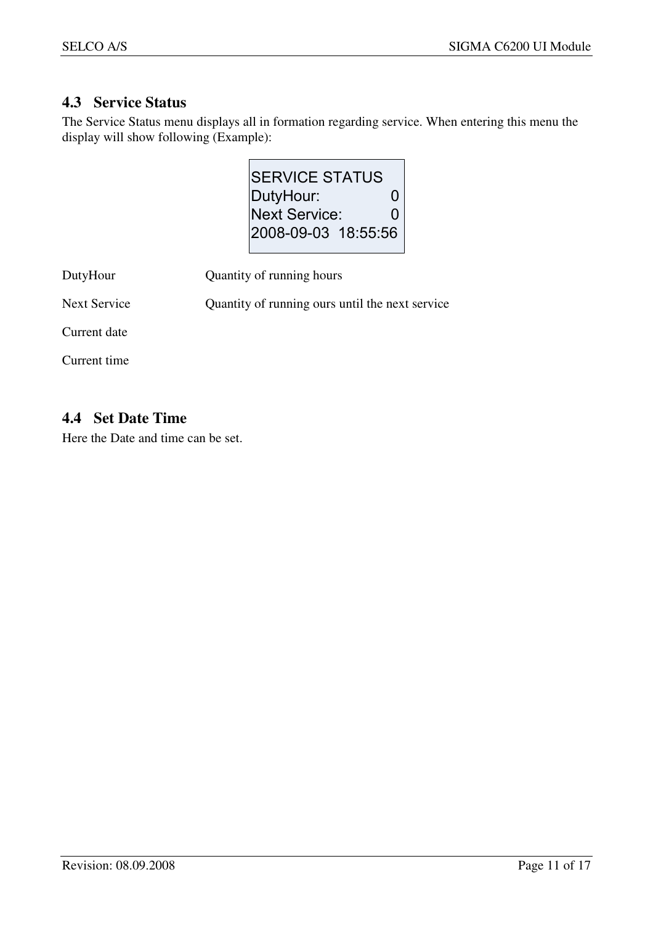## **4.3 Service Status**

The Service Status menu displays all in formation regarding service. When entering this menu the display will show following (Example):

| <b>SERVICE STATUS</b> |   |
|-----------------------|---|
| DutyHour:             | 0 |
| Next Service:         | O |
| 2008-09-03 18:55:56   |   |
|                       |   |

| DutyHour            | Quantity of running hours                       |
|---------------------|-------------------------------------------------|
| <b>Next Service</b> | Quantity of running ours until the next service |
| Current date        |                                                 |
| Current time        |                                                 |

## **4.4 Set Date Time**

Here the Date and time can be set.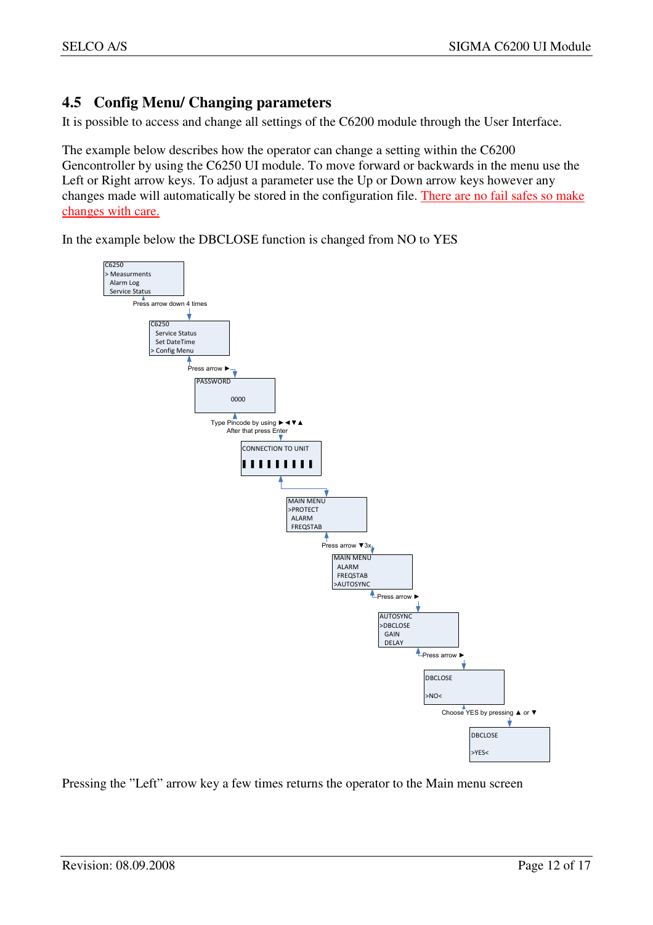## **4.5 Config Menu/ Changing parameters**

It is possible to access and change all settings of the C6200 module through the User Interface.

The example below describes how the operator can change a setting within the C6200 Gencontroller by using the C6250 UI module. To move forward or backwards in the menu use the Left or Right arrow keys. To adjust a parameter use the Up or Down arrow keys however any changes made will automatically be stored in the configuration file. There are no fail safes so make changes with care.

In the example below the DBCLOSE function is changed from NO to YES



Pressing the "Left" arrow key a few times returns the operator to the Main menu screen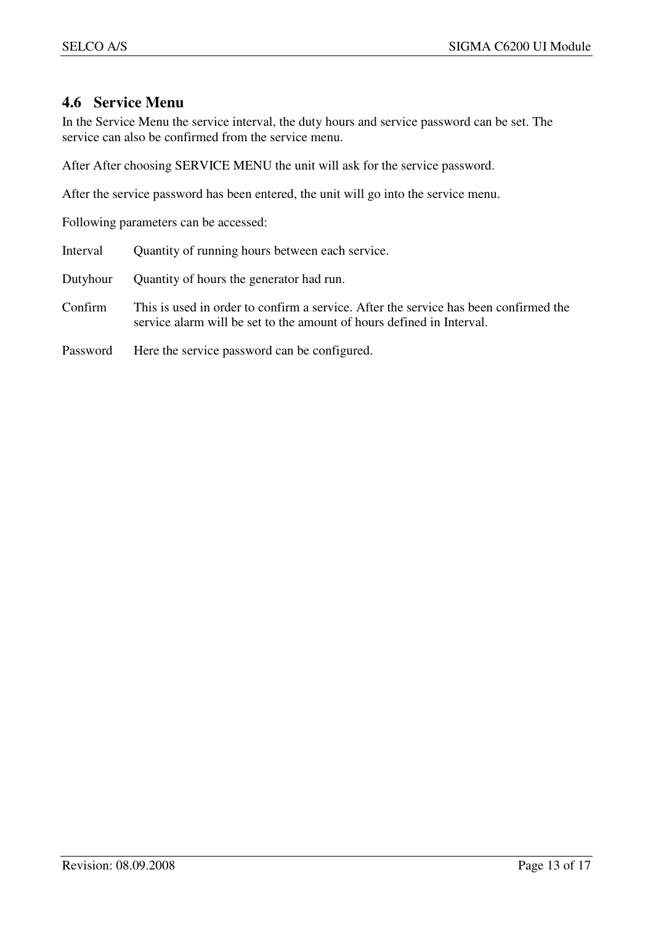#### **4.6 Service Menu**

In the Service Menu the service interval, the duty hours and service password can be set. The service can also be confirmed from the service menu.

After After choosing SERVICE MENU the unit will ask for the service password.

After the service password has been entered, the unit will go into the service menu.

Following parameters can be accessed:

Interval Quantity of running hours between each service.

Dutyhour Quantity of hours the generator had run.

Confirm This is used in order to confirm a service. After the service has been confirmed the service alarm will be set to the amount of hours defined in Interval.

Password Here the service password can be configured.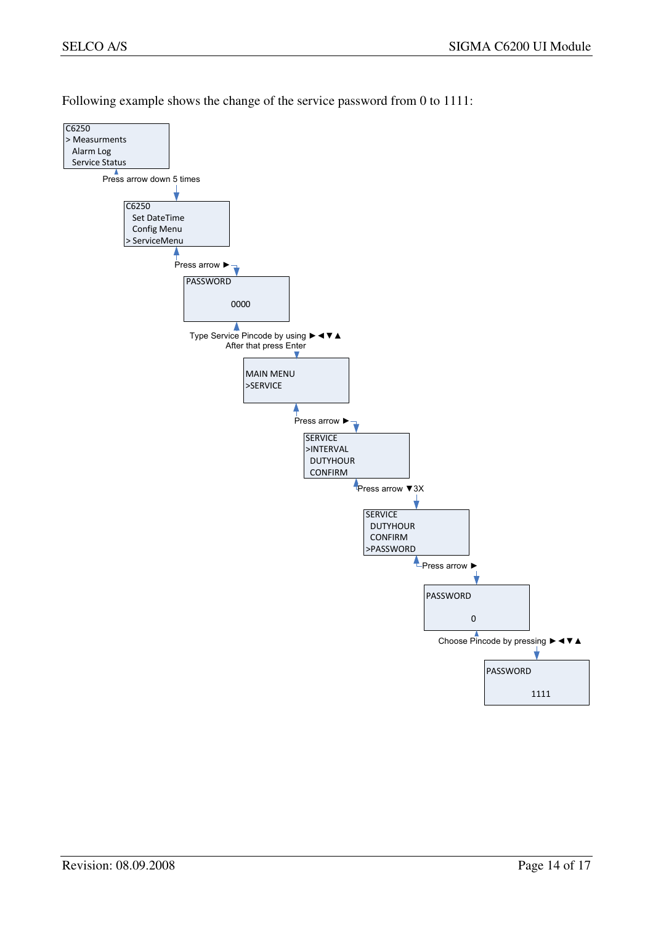Following example shows the change of the service password from 0 to 1111:

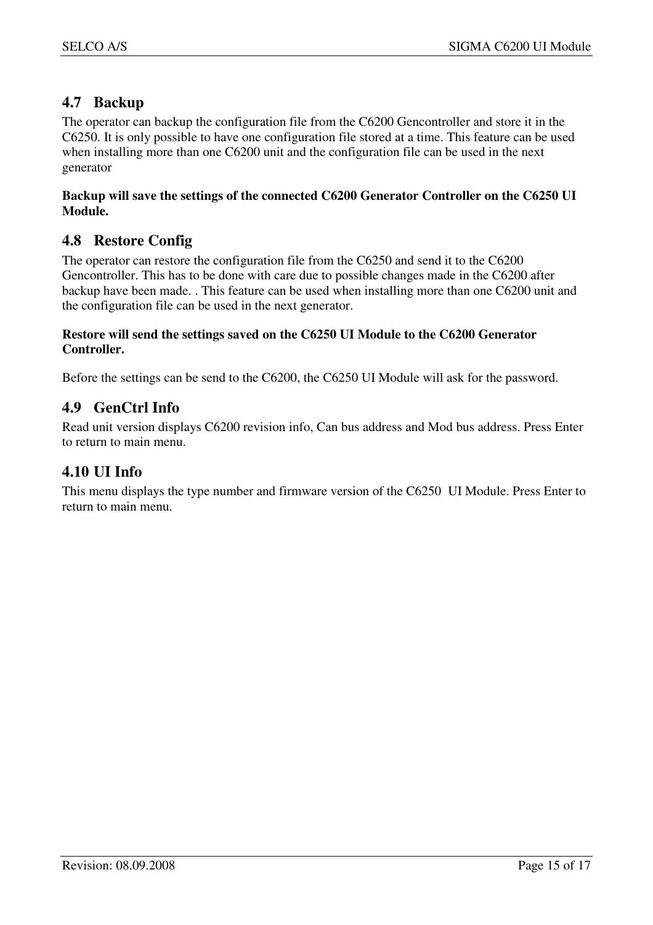## **4.7 Backup**

The operator can backup the configuration file from the C6200 Gencontroller and store it in the C6250. It is only possible to have one configuration file stored at a time. This feature can be used when installing more than one C6200 unit and the configuration file can be used in the next generator

#### **Backup will save the settings of the connected C6200 Generator Controller on the C6250 UI Module.**

## **4.8 Restore Config**

The operator can restore the configuration file from the C6250 and send it to the C6200 Gencontroller. This has to be done with care due to possible changes made in the C6200 after backup have been made. . This feature can be used when installing more than one C6200 unit and the configuration file can be used in the next generator.

#### **Restore will send the settings saved on the C6250 UI Module to the C6200 Generator Controller.**

Before the settings can be send to the C6200, the C6250 UI Module will ask for the password.

#### **4.9 GenCtrl Info**

Read unit version displays C6200 revision info, Can bus address and Mod bus address. Press Enter to return to main menu.

#### **4.10 UI Info**

This menu displays the type number and firmware version of the C6250 UI Module. Press Enter to return to main menu.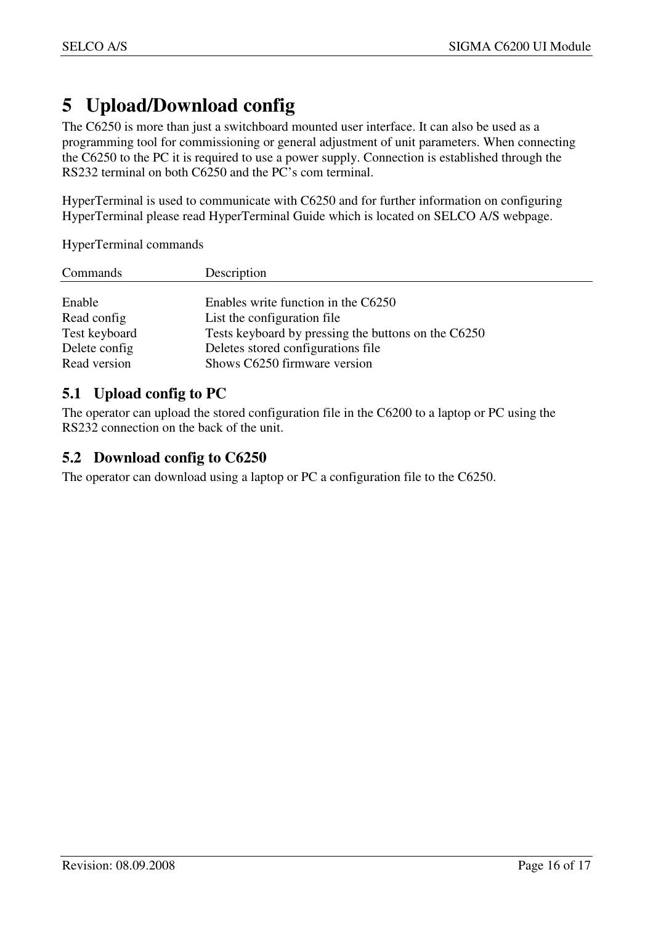# **5 Upload/Download config**

The C6250 is more than just a switchboard mounted user interface. It can also be used as a programming tool for commissioning or general adjustment of unit parameters. When connecting the C6250 to the PC it is required to use a power supply. Connection is established through the RS232 terminal on both C6250 and the PC's com terminal.

HyperTerminal is used to communicate with C6250 and for further information on configuring HyperTerminal please read HyperTerminal Guide which is located on SELCO A/S webpage.

HyperTerminal commands

| Commands      | Description                                         |
|---------------|-----------------------------------------------------|
|               |                                                     |
| Enable        | Enables write function in the C6250                 |
| Read config   | List the configuration file                         |
| Test keyboard | Tests keyboard by pressing the buttons on the C6250 |
| Delete config | Deletes stored configurations file                  |
| Read version  | Shows C6250 firmware version                        |

## **5.1 Upload config to PC**

The operator can upload the stored configuration file in the C6200 to a laptop or PC using the RS232 connection on the back of the unit.

### **5.2 Download config to C6250**

The operator can download using a laptop or PC a configuration file to the C6250.